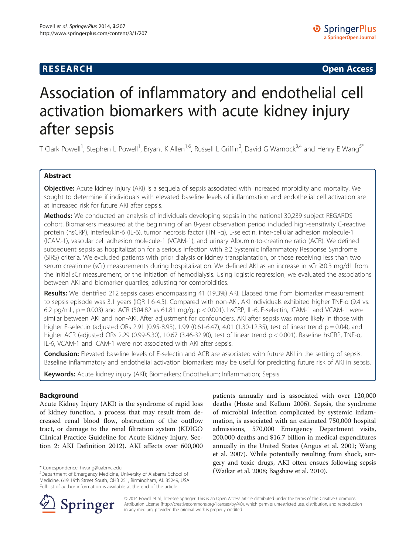## **RESEARCH CHE Open Access**

# Association of inflammatory and endothelial cell activation biomarkers with acute kidney injury after sepsis

T Clark Powell<sup>1</sup>, Stephen L Powell<sup>1</sup>, Bryant K Allen<sup>1,6</sup>, Russell L Griffin<sup>2</sup>, David G Warnock<sup>3,4</sup> and Henry E Wang<sup>5\*</sup>

## Abstract

Objective: Acute kidney injury (AKI) is a sequela of sepsis associated with increased morbidity and mortality. We sought to determine if individuals with elevated baseline levels of inflammation and endothelial cell activation are at increased risk for future AKI after sepsis.

**Methods:** We conducted an analysis of individuals developing sepsis in the national 30,239 subject REGARDS cohort. Biomarkers measured at the beginning of an 8-year observation period included high-sensitivity C-reactive protein (hsCRP), interleukin-6 (IL-6), tumor necrosis factor (TNF-α), E-selectin, inter-cellular adhesion molecule-1 (ICAM-1), vascular cell adhesion molecule-1 (VCAM-1), and urinary Albumin-to-creatinine ratio (ACR). We defined subsequent sepsis as hospitalization for a serious infection with ≥2 Systemic Inflammatory Response Syndrome (SIRS) criteria. We excluded patients with prior dialysis or kidney transplantation, or those receiving less than two serum creatinine (sCr) measurements during hospitalization. We defined AKI as an increase in sCr ≥0.3 mg/dL from the initial sCr measurement, or the initiation of hemodialysis. Using logistic regression, we evaluated the associations between AKI and biomarker quartiles, adjusting for comorbidities.

Results: We identified 212 sepsis cases encompassing 41 (19.3%) AKI. Elapsed time from biomarker measurement to sepsis episode was 3.1 years (IQR 1.6-4.5). Compared with non-AKI, AKI individuals exhibited higher TNF-α (9.4 vs. 6.2 pg/mL, p = 0.003) and ACR (504.82 vs 61.81 mg/g, p < 0.001). hsCRP, IL-6, E-selectin, ICAM-1 and VCAM-1 were similar between AKI and non-AKI. After adjustment for confounders, AKI after sepsis was more likely in those with higher E-selectin (adjusted ORs 2.91 (0.95-8.93), 1.99 (0.61-6.47), 4.01 (1.30-12.35), test of linear trend p = 0.04), and higher ACR (adjusted ORs 2.29 (0.99-5.30), 10.67 (3.46-32.90), test of linear trend p < 0.001). Baseline hsCRP, TNF-α, IL-6, VCAM-1 and ICAM-1 were not associated with AKI after sepsis.

Conclusion: Elevated baseline levels of E-selectin and ACR are associated with future AKI in the setting of sepsis. Baseline inflammatory and endothelial activation biomarkers may be useful for predicting future risk of AKI in sepsis.

Keywords: Acute kidney injury (AKI); Biomarkers; Endothelium; Inflammation; Sepsis

## Background

Acute Kidney Injury (AKI) is the syndrome of rapid loss of kidney function, a process that may result from decreased renal blood flow, obstruction of the outflow tract, or damage to the renal filtration system (KDIGO Clinical Practice Guideline for Acute Kidney Injury. Section 2: AKI Definition [2012](#page-6-0)). AKI affects over 600,000

patients annually and is associated with over 120,000 deaths (Hoste and Kellum [2006\)](#page-6-0). Sepsis, the syndrome of microbial infection complicated by systemic inflammation, is associated with an estimated 750,000 hospital admissions, 570,000 Emergency Department visits, 200,000 deaths and \$16.7 billion in medical expenditures annually in the United States (Angus et al. [2001](#page-6-0); Wang et al. [2007\)](#page-7-0). While potentially resulting from shock, surgery and toxic drugs, AKI often ensues following sepsis \* Correspondence: hwang@uabmc.edu<br><sup>5</sup>Department of Emergency Medicine University of Alabama School of (Waikar et al. [2008;](#page-7-0) Bagshaw et al. [2010](#page-6-0)).



© 2014 Powell et al.; licensee Springer. This is an Open Access article distributed under the terms of the Creative Commons Attribution License [\(http://creativecommons.org/licenses/by/4.0\)](http://creativecommons.org/licenses/by/4.0), which permits unrestricted use, distribution, and reproduction in any medium, provided the original work is properly credited.

Department of Emergency Medicine, University of Alabama School of Medicine, 619 19th Street South, OHB 251, Birmingham, AL 35249, USA Full list of author information is available at the end of the article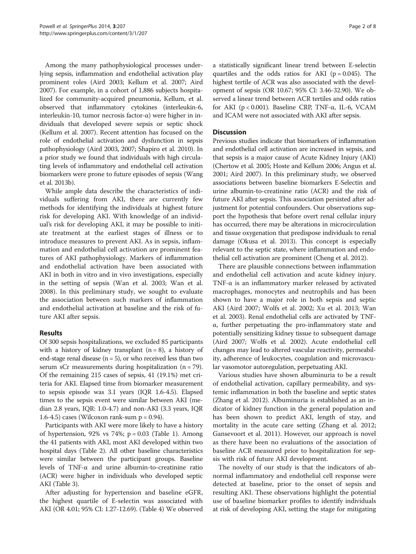Among the many pathophysiological processes underlying sepsis, inflammation and endothelial activation play prominent roles (Aird [2003;](#page-6-0) Kellum et al. [2007;](#page-6-0) Aird [2007\)](#page-6-0). For example, in a cohort of 1,886 subjects hospitalized for community-acquired pneumonia, Kellum, et al. observed that inflammatory cytokines (interleukin-6, interleukin-10, tumor necrosis factor-α) were higher in individuals that developed severe sepsis or septic shock (Kellum et al. [2007\)](#page-6-0). Recent attention has focused on the role of endothelial activation and dysfunction in sepsis pathophysiology (Aird [2003](#page-6-0), [2007;](#page-6-0) Shapiro et al. [2010\)](#page-7-0). In a prior study we found that individuals with high circulating levels of inflammatory and endothelial cell activation biomarkers were prone to future episodes of sepsis (Wang et al. [2013b\)](#page-7-0).

While ample data describe the characteristics of individuals suffering from AKI, there are currently few methods for identifying the individuals at highest future risk for developing AKI. With knowledge of an individual's risk for developing AKI, it may be possible to initiate treatment at the earliest stages of illness or to introduce measures to prevent AKI. As in sepsis, inflammation and endothelial cell activation are prominent features of AKI pathophysiology. Markers of inflammation and endothelial activation have been associated with AKI in both in vitro and in vivo investigations, especially in the setting of sepsis (Wan et al. [2003;](#page-7-0) Wan et al. [2008](#page-7-0)). In this preliminary study, we sought to evaluate the association between such markers of inflammation and endothelial activation at baseline and the risk of future AKI after sepsis.

### Results

Of 300 sepsis hospitalizations, we excluded 85 participants with a history of kidney transplant  $(n = 8)$ , a history of end-stage renal disease ( $n = 5$ ), or who received less than two serum sCr measurements during hospitalization  $(n = 79)$ . Of the remaining 215 cases of sepsis, 41 (19.1%) met criteria for AKI. Elapsed time from biomarker measurement to sepsis episode was 3.1 years (IQR 1.6-4.5). Elapsed times to the sepsis event were similar between AKI (median 2.8 years, IQR: 1.0-4.7) and non-AKI (3.3 years, IQR 1.6-4.5) cases (Wilcoxon rank-sum  $p = 0.94$ ).

Participants with AKI were more likely to have a history of hypertension, 92% vs 74%;  $p = 0.03$  (Table [1](#page-2-0)). Among the 41 patients with AKI, most AKI developed within two hospital days (Table [2](#page-2-0)). All other baseline characteristics were similar between the participant groups. Baseline levels of TNF-α and urine albumin-to-creatinine ratio (ACR) were higher in individuals who developed septic AKI (Table [3](#page-3-0)).

After adjusting for hypertension and baseline eGFR, the highest quartile of E-selectin was associated with AKI (OR 4.01; 95% CI: 1.27-12.69). (Table [4](#page-4-0)) We observed

a statistically significant linear trend between E-selectin quartiles and the odds ratios for AKI ( $p = 0.045$ ). The highest tertile of ACR was also associated with the development of sepsis (OR 10.67; 95% CI: 3.46-32.90). We observed a linear trend between ACR tertiles and odds ratios for AKI ( $p < 0.001$ ). Baseline CRP, TNF- $\alpha$ , IL-6, VCAM and ICAM were not associated with AKI after sepsis.

## **Discussion**

Previous studies indicate that biomarkers of inflammation and endothelial cell activation are increased in sepsis, and that sepsis is a major cause of Acute Kidney Injury (AKI) (Chertow et al. [2005](#page-6-0); Hoste and Kellum [2006](#page-6-0); Angus et al. [2001](#page-6-0); Aird [2007](#page-6-0)). In this preliminary study, we observed associations between baseline biomarkers E-Selectin and urine albumin-to-creatinine ratio (ACR) and the risk of future AKI after sepsis. This association persisted after adjustment for potential confounders. Our observations support the hypothesis that before overt renal cellular injury has occurred, there may be alterations in microcirculation and tissue oxygenation that predispose individuals to renal damage (Okusa et al. [2013\)](#page-7-0). This concept is especially relevant to the septic state, where inflammation and endothelial cell activation are prominent (Cheng et al. [2012\)](#page-6-0).

There are plausible connections between inflammation and endothelial cell activation and acute kidney injury. TNF-α is an inflammatory marker released by activated macrophages, monocytes and neutrophils and has been shown to have a major role in both sepsis and septic AKI (Aird [2007](#page-6-0); Wolfs et al. [2002;](#page-7-0) Xu et al. [2013;](#page-7-0) Wan et al. [2003\)](#page-7-0). Renal endothelial cells are activated by TNFα, further perpetuating the pro-inflammatory state and potentially sensitizing kidney tissue to subsequent damage (Aird [2007;](#page-6-0) Wolfs et al. [2002\)](#page-7-0). Acute endothelial cell changes may lead to altered vascular reactivity, permeability, adherence of leukocytes, coagulation and microvascular vasomotor autoregulation, perpetuating AKI.

Various studies have shown albuminuria to be a result of endothelial activation, capillary permeability, and systemic inflammation in both the baseline and septic states (Zhang et al. [2012](#page-7-0)). Albuminuria is established as an indicator of kidney function in the general population and has been shown to predict AKI, length of stay, and mortality in the acute care setting (Zhang et al. [2012](#page-7-0); Gansevoort et al. [2011](#page-6-0)). However, our approach is novel as there have been no evaluations of the association of baseline ACR measured prior to hospitalization for sepsis with risk of future AKI development.

The novelty of our study is that the indicators of abnormal inflammatory and endothelial cell response were detected at baseline, prior to the onset of sepsis and resulting AKI. These observations highlight the potential use of baseline biomarker profiles to identify individuals at risk of developing AKI, setting the stage for mitigating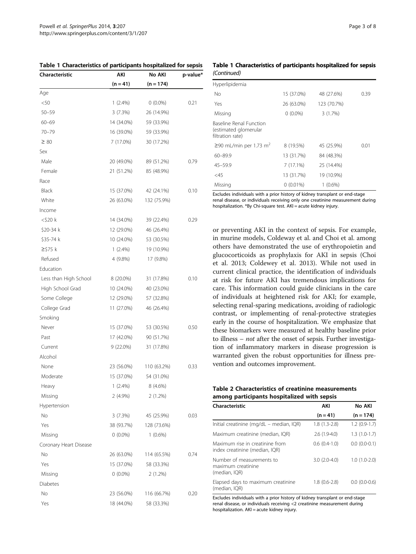<span id="page-2-0"></span>

| Table 1 Characteristics of participants hospitalized for sepsis |             |             |          |
|-----------------------------------------------------------------|-------------|-------------|----------|
| Characteristic                                                  | AKI         | No AKI      | p-value* |
|                                                                 | $(n = 41)$  | $(n = 174)$ |          |
| Age                                                             |             |             |          |
| $<$ 50                                                          | $1(2.4\%)$  | $0(0.0\%)$  | 0.21     |
| $50 - 59$                                                       | 3(7.3%)     | 26 (14.9%)  |          |
| $60 - 69$                                                       | 14 (34.0%)  | 59 (33.9%)  |          |
| $70 - 79$                                                       | 16 (39.0%)  | 59 (33.9%)  |          |
| $\geq 80$                                                       | 7 (17.0%)   | 30 (17.2%)  |          |
| Sex                                                             |             |             |          |
| Male                                                            | 20 (49.0%)  | 89 (51.2%)  | 0.79     |
| Female                                                          | 21 (51.2%)  | 85 (48.9%)  |          |
| Race                                                            |             |             |          |
| Black                                                           | 15 (37.0%)  | 42 (24.1%)  | 0.10     |
| White                                                           | 26 (63.0%)  | 132 (75.9%) |          |
| Income                                                          |             |             |          |
| <\$20 k                                                         | 14 (34.0%)  | 39 (22.4%)  | 0.29     |
| \$20-34 k                                                       | 12 (29.0%)  | 46 (26.4%)  |          |
| \$35-74 k                                                       | 10 (24.0%)  | 53 (30.5%)  |          |
| $\ge$ \$75 k                                                    | $1(2.4\%)$  | 19 (10.9%)  |          |
| Refused                                                         | 4 (9.8%)    | 17 (9.8%)   |          |
| Education                                                       |             |             |          |
| Less than High School                                           | 8 (20.0%)   | 31 (17.8%)  | 0.10     |
| High School Grad                                                | 10 (24.0%)  | 40 (23.0%)  |          |
| Some College                                                    | 12 (29.0%)  | 57 (32.8%)  |          |
| College Grad                                                    | 11 (27.0%)  | 46 (26.4%)  |          |
| Smoking                                                         |             |             |          |
| Never                                                           | 15 (37.0%)  | 53 (30.5%)  | 0.50     |
| Past                                                            | 17 (42.0%)  | 90 (51.7%)  |          |
| Current                                                         | $9(22.0\%)$ | 31 (17.8%)  |          |
| Alcohol                                                         |             |             |          |
| None                                                            | 23 (56.0%)  | 110 (63.2%) | 0.33     |
| Moderate                                                        | 15 (37.0%)  | 54 (31.0%)  |          |
| Heavy                                                           | $1(2.4\%)$  | 8 (4.6%)    |          |
| Missing                                                         | $2(4.9\%)$  | 2(1.2%)     |          |
| Hypertension                                                    |             |             |          |
| No                                                              | 3(7.3%)     | 45 (25.9%)  | 0.03     |
| Yes                                                             | 38 (93.7%)  | 128 (73.6%) |          |
| Missing                                                         | $0(0.0\%)$  | $1(0.6\%)$  |          |
| Coronary Heart Disease                                          |             |             |          |
| No                                                              | 26 (63.0%)  | 114 (65.5%) | 0.74     |
| Yes                                                             | 15 (37.0%)  | 58 (33.3%)  |          |
| Missing                                                         | $0(0.0\%)$  | $2(1.2\%)$  |          |
| Diabetes                                                        |             |             |          |
| No                                                              | 23 (56.0%)  | 116 (66.7%) | 0.20     |
| Yes                                                             | 18 (44.0%)  | 58 (33.3%)  |          |

Table 1 Characteristics of participants hospitalized for sepsis (Continued)

| Hyperlipidemia                                                              |             |             |      |
|-----------------------------------------------------------------------------|-------------|-------------|------|
| No                                                                          | 15 (37.0%)  | 48 (27.6%)  | 0.39 |
| Yes                                                                         | 26 (63.0%)  | 123 (70.7%) |      |
| Missing                                                                     | $0(0.0\%)$  | 3(1.7%)     |      |
| <b>Baseline Renal Function</b><br>(estimated glomerular<br>filtration rate) |             |             |      |
| ≥90 mL/min per 1.73 m <sup>2</sup>                                          | 8 (19.5%)   | 45 (25.9%)  | 0.01 |
| 60-89.9                                                                     | 13 (31.7%)  | 84 (48.3%)  |      |
| $45 - 59.9$                                                                 | 7(17.1%)    | 25 (14.4%)  |      |
| $<$ 45                                                                      | 13 (31.7%)  | 19 (10.9%)  |      |
| Missing                                                                     | $0(0.01\%)$ | $1(0.6\%)$  |      |

Excludes individuals with a prior history of kidney transplant or end-stage renal disease, or individuals receiving only one creatinine measurement during hospitalization. \*By Chi-square test. AKI = acute kidney injury.

or preventing AKI in the context of sepsis. For example, in murine models, Coldeway et al. and Choi et al. among others have demonstrated the use of erythropoietin and glucocorticoids as prophylaxis for AKI in sepsis (Choi et al. [2013;](#page-6-0) Coldewey et al. [2013](#page-6-0)). While not used in current clinical practice, the identification of individuals at risk for future AKI has tremendous implications for care. This information could guide clinicians in the care of individuals at heightened risk for AKI; for example, selecting renal-sparing medications, avoiding of radiologic contrast, or implementing of renal-protective strategies early in the course of hospitalization. We emphasize that these biomarkers were measured at healthy baseline prior to illness  $- not$  after the onset of sepsis. Further investigation of inflammatory markers in disease progression is warranted given the robust opportunities for illness prevention and outcomes improvement.

|  | Table 2 Characteristics of creatinine measurements |  |
|--|----------------------------------------------------|--|
|  | among participants hospitalized with sepsis        |  |

| Characteristic                                                    | AKI            | No AKI         |
|-------------------------------------------------------------------|----------------|----------------|
|                                                                   | $(n = 41)$     | $(n = 174)$    |
| Initial creatinine (mg/dL - median, IQR)                          | $1.8(1.3-2.8)$ | $1.2(0.9-1.7)$ |
| Maximum creatinine (median, IQR)                                  | $2.6(1.9-4.0)$ | $1.3(1.0-1.7)$ |
| Maximum rise in creatinine from<br>index creatinine (median, IQR) | $0.6(0.4-1.0)$ | $0.0(0.0-0.1)$ |
| Number of measurements to<br>maximum creatinine<br>(median, IQR)  | $3.0(2.0-4.0)$ | $1.0(1.0-2.0)$ |
| Elapsed days to maximum creatinine<br>(median, IOR)               | $1.8(0.6-2.8)$ | $0.0(0.0-0.6)$ |

Excludes individuals with a prior history of kidney transplant or end-stage renal disease, or individuals receiving <2 creatinine measurement during hospitalization. AKI = acute kidney injury.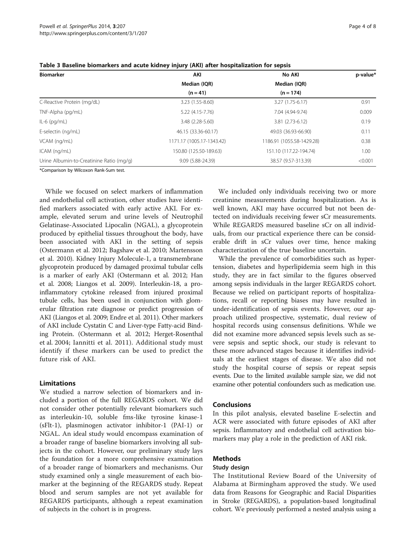| <b>Biomarker</b>                         | AKI<br>Median (IQR)       | No AKI<br>Median (IQR)    | p-value* |
|------------------------------------------|---------------------------|---------------------------|----------|
|                                          |                           |                           |          |
| C-Reactive Protein (mg/dL)               | 3.23 (1.55-8.60)          | $3.27(1.75-6.17)$         | 0.91     |
| TNF-Alpha (pg/mL)                        | 5.22 (4.15-7.76)          | 7.04 (4.94-9.74)          | 0.009    |
| $IL-6$ (pg/mL)                           | 3.48 (2.28-5.60)          | $3.81(2.73-6.12)$         | 0.19     |
| E-selectin (ng/mL)                       | 46.15 (33.36-60.17)       | 49.03 (36.93-66.90)       | 0.11     |
| VCAM (ng/mL)                             | 1171.17 (1005.17-1343.42) | 1186.91 (1055.58-1429.28) | 0.38     |
| ICAM (ng/mL)                             | 150.80 (125.50-189.63)    | 151.10 (117.22-194.74)    | 1.00     |
| Urine Albumin-to-Creatinine Ratio (mg/g) | 9.09 (5.88-24.39)         | 38.57 (9.57-313.39)       | < 0.001  |

<span id="page-3-0"></span>Table 3 Baseline biomarkers and acute kidney injury (AKI) after hospitalization for sepsis

\*Comparison by Wilcoxon Rank-Sum test.

While we focused on select markers of inflammation and endothelial cell activation, other studies have identified markers associated with early active AKI. For example, elevated serum and urine levels of Neutrophil Gelatinase-Associated Lipocalin (NGAL), a glycoprotein produced by epithelial tissues throughout the body, have been associated with AKI in the setting of sepsis (Ostermann et al. [2012](#page-7-0); Bagshaw et al. [2010](#page-6-0); Martensson et al. [2010](#page-6-0)). Kidney Injury Molecule-1, a transmembrane glycoprotein produced by damaged proximal tubular cells is a marker of early AKI (Ostermann et al. [2012](#page-7-0); Han et al. [2008;](#page-6-0) Liangos et al. [2009\)](#page-6-0). Interleukin-18, a proinflammatory cytokine released from injured proximal tubule cells, has been used in conjunction with glomerular filtration rate diagnose or predict progression of AKI (Liangos et al. [2009;](#page-6-0) Endre et al. [2011](#page-6-0)). Other markers of AKI include Cystatin C and Liver-type Fatty-acid Binding Protein. (Ostermann et al. [2012;](#page-7-0) Herget-Rosenthal et al. [2004;](#page-6-0) Iannitti et al. [2011](#page-6-0)). Additional study must identify if these markers can be used to predict the future risk of AKI.

#### Limitations

We studied a narrow selection of biomarkers and included a portion of the full REGARDS cohort. We did not consider other potentially relevant biomarkers such as interleukin-10, soluble fms-like tyrosine kinase-1 (sFlt-1), plasminogen activator inhibitor-1 (PAI-1) or NGAL. An ideal study would encompass examination of a broader range of baseline biomarkers involving all subjects in the cohort. However, our preliminary study lays the foundation for a more comprehensive examination of a broader range of biomarkers and mechanisms. Our study examined only a single measurement of each biomarker at the beginning of the REGARDS study. Repeat blood and serum samples are not yet available for REGARDS participants, although a repeat examination of subjects in the cohort is in progress.

We included only individuals receiving two or more creatinine measurements during hospitalization. As is well known, AKI may have occurred but not been detected on individuals receiving fewer sCr measurements. While REGARDS measured baseline sCr on all individuals, from our practical experience there can be considerable drift in sCr values over time, hence making characterization of the true baseline uncertain.

While the prevalence of comorbidities such as hypertension, diabetes and hyperlipidemia seem high in this study, they are in fact similar to the figures observed among sepsis individuals in the larger REGARDS cohort. Because we relied on participant reports of hospitalizations, recall or reporting biases may have resulted in under-identification of sepsis events. However, our approach utilized prospective, systematic, dual review of hospital records using consensus definitions. While we did not examine more advanced sepsis levels such as severe sepsis and septic shock, our study is relevant to these more advanced stages because it identifies individuals at the earliest stages of disease. We also did not study the hospital course of sepsis or repeat sepsis events. Due to the limited available sample size, we did not examine other potential confounders such as medication use.

### Conclusions

In this pilot analysis, elevated baseline E-selectin and ACR were associated with future episodes of AKI after sepsis. Inflammatory and endothelial cell activation biomarkers may play a role in the prediction of AKI risk.

## Methods

## Study design

The Institutional Review Board of the University of Alabama at Birmingham approved the study. We used data from Reasons for Geographic and Racial Disparities in Stroke (REGARDS), a population-based longitudinal cohort. We previously performed a nested analysis using a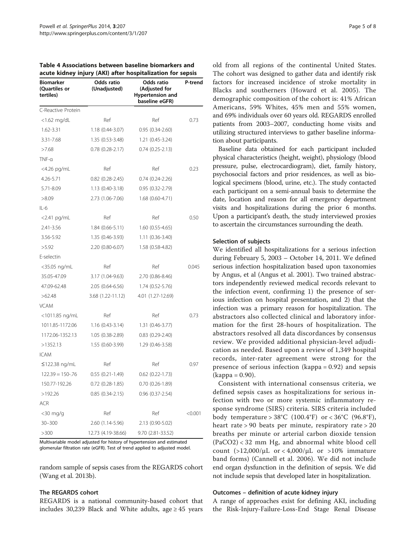| Biomarker<br>(Quartiles or<br>tertiles) | Odds ratio<br>(Unadjusted) | Odds ratio<br>(Adjusted for<br><b>Hypertension and</b><br>baseline eGFR) | P-trend |
|-----------------------------------------|----------------------------|--------------------------------------------------------------------------|---------|
| C-Reactive Protein                      |                            |                                                                          |         |
| $<$ 1.62 mg/dL                          | Ref                        | Ref                                                                      | 0.73    |
| 1.62-3.31                               | 1.18 (0.44-3.07)           | $0.95(0.34-2.60)$                                                        |         |
| 3.31-7.68                               | 1.35 (0.53-3.48)           | 1.21 (0.45-3.24)                                                         |         |
| >7.68                                   | $0.78$ $(0.28 - 2.17)$     | $0.74(0.25-2.13)$                                                        |         |
| TNF-α                                   |                            |                                                                          |         |
| <4.26 pg/mL                             | Ref                        | Ref                                                                      | 0.23    |
| 4.26-5.71                               | $0.82$ $(0.28 - 2.45)$     | $0.74(0.24-2.26)$                                                        |         |
| 5.71-8.09                               | $1.13(0.40-3.18)$          | $0.95(0.32 - 2.79)$                                                      |         |
| >8.09                                   | 2.73 (1.06-7.06)           | 1.68 (0.60-4.71)                                                         |         |
| IL-6                                    |                            |                                                                          |         |
| $<$ 2.41 pg/mL                          | Ref                        | Ref                                                                      | 0.50    |
| 2.41-3.56                               | $1.84(0.66-5.11)$          | $1.60(0.55-4.65)$                                                        |         |
| 3.56-5.92                               | 1.35 (0.46-3.93)           | $1.11(0.36 - 3.40)$                                                      |         |
| >5.92                                   | 2.20 (0.80-6.07)           | 1.58 (0.58-4.82)                                                         |         |
| E-selectin                              |                            |                                                                          |         |
| <35.05 ng/mL                            | Ref                        | Ref                                                                      | 0.045   |
| 35.05-47.09                             | 3.17 (1.04-9.63)           | 2.70 (0.86-8.46)                                                         |         |
| 47.09-62.48                             | 2.05 (0.64-6.56)           | 1.74 (0.52-5.76)                                                         |         |
| >62.48                                  | 3.68 (1.22-11.12)          | 4.01 (1.27-12.69)                                                        |         |
| <b>VCAM</b>                             |                            |                                                                          |         |
| <1011.85 ng/mL                          | Ref                        | Ref                                                                      | 0.73    |
| 1011.85-1172.06                         | $1.16(0.43-3.14)$          | 1.31 (0.46-3.77)                                                         |         |
| 1172.06-1352.13                         | 1.05 (0.38-2.89)           | $0.83$ $(0.29 - 2.40)$                                                   |         |
| >1352.13                                | 1.55 (0.60-3.99)           | 1.29 (0.46-3.58)                                                         |         |
| ICAM                                    |                            |                                                                          |         |
| ≤122.38 ng/mL                           | Ref                        | Ref                                                                      | 0.97    |
| $122.39 = 150 - 76$                     | $0.55(0.21-1.49)$          | $0.62$ $(0.22 - 1.73)$                                                   |         |
| 150.77-192.26                           | $0.72$ $(0.28-1.85)$       | $0.70(0.26-1.89)$                                                        |         |
| >192.26                                 | $0.85(0.34-2.15)$          | $0.96$ $(0.37 - 2.54)$                                                   |         |
| ACR                                     |                            |                                                                          |         |
| $<$ 30 mg/g                             | Ref                        | Ref                                                                      | < 0.001 |
| $30 - 300$                              | 2.60 (1.14-5.96)           | 2.13 (0.90-5.02)                                                         |         |
| >300                                    | 12.73 (4.19-38.66)         | 9.70 (2.81-33.52)                                                        |         |

<span id="page-4-0"></span>Table 4 Associations between baseline biomarkers and acute kidney injury (AKI) after hospitalization for sepsis

Multivariable model adjusted for history of hypertension and estimated glomerular filtration rate (eGFR). Test of trend applied to adjusted model.

random sample of sepsis cases from the REGARDS cohort (Wang et al. [2013b](#page-7-0)).

#### The REGARDS cohort

REGARDS is a national community-based cohort that includes 30,239 Black and White adults, age  $\geq$  45 years

old from all regions of the continental United States. The cohort was designed to gather data and identify risk factors for increased incidence of stroke mortality in Blacks and southerners (Howard et al. [2005](#page-6-0)). The demographic composition of the cohort is: 41% African Americans, 59% Whites, 45% men and 55% women, and 69% individuals over 60 years old. REGARDS enrolled patients from 2003–2007, conducting home visits and utilizing structured interviews to gather baseline information about participants.

Baseline data obtained for each participant included physical characteristics (height, weight), physiology (blood pressure, pulse, electrocardiogram), diet, family history, psychosocial factors and prior residences, as well as biological specimens (blood, urine, etc.). The study contacted each participant on a semi-annual basis to determine the date, location and reason for all emergency department visits and hospitalizations during the prior 6 months. Upon a participant's death, the study interviewed proxies to ascertain the circumstances surrounding the death.

#### Selection of subjects

We identified all hospitalizations for a serious infection during February 5, 2003 – October 14, 2011. We defined serious infection hospitalization based upon taxonomies by Angus, et al (Angus et al. [2001](#page-6-0)). Two trained abstractors independently reviewed medical records relevant to the infection event, confirming 1) the presence of serious infection on hospital presentation, and 2) that the infection was a primary reason for hospitalization. The abstractors also collected clinical and laboratory information for the first 28-hours of hospitalization. The abstractors resolved all data discordances by consensus review. We provided additional physician-level adjudication as needed. Based upon a review of 1,349 hospital records, inter-rater agreement were strong for the presence of serious infection (kappa = 0.92) and sepsis (kappa = 0.90).

Consistent with international consensus criteria, we defined sepsis cases as hospitalizations for serious infection with two or more systemic inflammatory response syndrome (SIRS) criteria. SIRS criteria included body temperature >  $38^{\circ}C$  (100.4°F) or <  $36^{\circ}C$  (96.8°F), heart rate > 90 beats per minute, respiratory rate > 20 breaths per minute or arterial carbon dioxide tension (PaCO2) < 32 mm Hg, and abnormal white blood cell count  $(>12,000/\mu L$  or  $< 4,000/\mu L$  or  $>10\%$  immature band forms) (Cannell et al. [2006](#page-6-0)). We did not include end organ dysfunction in the definition of sepsis. We did not include sepsis that developed later in hospitalization.

#### Outcomes – definition of acute kidney injury

A range of approaches exist for defining AKI, including the Risk-Injury-Failure-Loss-End Stage Renal Disease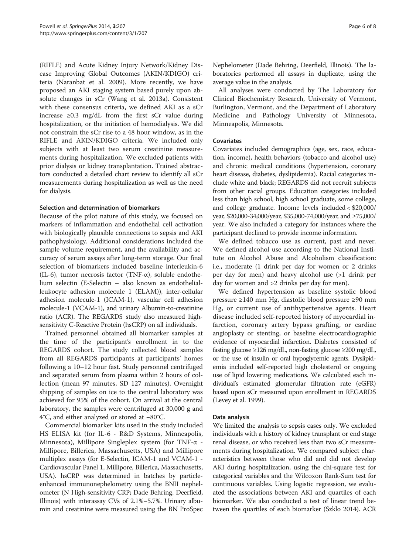(RIFLE) and Acute Kidney Injury Network/Kidney Disease Improving Global Outcomes (AKIN/KDIGO) criteria (Naranbat et al. [2009](#page-7-0)). More recently, we have proposed an AKI staging system based purely upon absolute changes in sCr (Wang et al. [2013a](#page-7-0)). Consistent with these consensus criteria, we defined AKI as a sCr increase ≥0.3 mg/dL from the first sCr value during hospitalization, or the initiation of hemodialysis. We did not constrain the sCr rise to a 48 hour window, as in the RIFLE and AKIN/KDIGO criteria. We included only subjects with at least two serum creatinine measurements during hospitalization. We excluded patients with prior dialysis or kidney transplantation. Trained abstractors conducted a detailed chart review to identify all sCr measurements during hospitalization as well as the need for dialysis.

### Selection and determination of biomarkers

Because of the pilot nature of this study, we focused on markers of inflammation and endothelial cell activation with biologically plausible connections to sepsis and AKI pathophysiology. Additional considerations included the sample volume requirement, and the availability and accuracy of serum assays after long-term storage. Our final selection of biomarkers included baseline interleukin-6 (IL-6), tumor necrosis factor (TNF- $\alpha$ ), soluble endothelium selectin (E-Selectin – also known as endothelialleukocyte adhesion molecule 1 (ELAM)), inter-cellular adhesion molecule-1 (ICAM-1), vascular cell adhesion molecule-1 (VCAM-1), and urinary Albumin-to-creatinine ratio (ACR). The REGARDS study also measured highsensitivity C-Reactive Protein (hsCRP) on all individuals.

Trained personnel obtained all biomarker samples at the time of the participant's enrollment in to the REGARDS cohort. The study collected blood samples from all REGARDS participants at participants' homes following a 10–12 hour fast. Study personnel centrifuged and separated serum from plasma within 2 hours of collection (mean 97 minutes, SD 127 minutes). Overnight shipping of samples on ice to the central laboratory was achieved for 95% of the cohort. On arrival at the central laboratory, the samples were centrifuged at 30,000 g and 4°C, and either analyzed or stored at −80°C.

Commercial biomarker kits used in the study included HS ELISA kit (for IL-6 - R&D Systems, Minneapolis, Minnesota), Millipore Singleplex system (for TNF-α - Millipore, Billerica, Massachusetts, USA) and Millipore multiplex assays (for E-Selectin, ICAM-1 and VCAM-1 - Cardiovascular Panel 1, Millipore, Billerica, Massachusetts, USA). hsCRP was determined in batches by particleenhanced immunonephelometry using the BNII nephelometer (N High-sensitivity CRP; Dade Behring, Deerfield, Illinois) with interassay CVs of 2.1%–5.7%. Urinary albumin and creatinine were measured using the BN ProSpec Nephelometer (Dade Behring, Deerfield, Illinois). The laboratories performed all assays in duplicate, using the average value in the analysis.

All analyses were conducted by The Laboratory for Clinical Biochemistry Research, University of Vermont, Burlington, Vermont, and the Department of Laboratory Medicine and Pathology University of Minnesota, Minneapolis, Minnesota.

## Covariates

Covariates included demographics (age, sex, race, education, income), health behaviors (tobacco and alcohol use) and chronic medical conditions (hypertension, coronary heart disease, diabetes, dyslipidemia). Racial categories include white and black; REGARDS did not recruit subjects from other racial groups. Education categories included less than high school, high school graduate, some college, and college graduate. Income levels included < \$20,000/ year, \$20,000-34,000/year, \$35,000-74,000/year, and ≥75,000/ year. We also included a category for instances where the participant declined to provide income information.

We defined tobacco use as current, past and never. We defined alcohol use according to the National Institute on Alcohol Abuse and Alcoholism classification: i.e., moderate (1 drink per day for women or 2 drinks per day for men) and heavy alcohol use (>1 drink per day for women and >2 drinks per day for men).

We defined hypertension as baseline systolic blood pressure ≥140 mm Hg, diastolic blood pressure ≥90 mm Hg, or current use of antihypertensive agents. Heart disease included self-reported history of myocardial infarction, coronary artery bypass grafting, or cardiac angioplasty or stenting, or baseline electrocardiographic evidence of myocardial infarction. Diabetes consisted of fasting glucose ≥126 mg/dL, non-fasting glucose ≥200 mg/dL, or the use of insulin or oral hypoglycemic agents. Dyslipidemia included self-reported high cholesterol or ongoing use of lipid lowering medications. We calculated each individual's estimated glomerular filtration rate (eGFR) based upon sCr measured upon enrollment in REGARDS (Levey et al. [1999](#page-6-0)).

## Data analysis

We limited the analysis to sepsis cases only. We excluded individuals with a history of kidney transplant or end stage renal disease, or who received less than two sCr measurements during hospitalization. We compared subject characteristics between those who did and did not develop AKI during hospitalization, using the chi-square test for categorical variables and the Wilcoxon Rank-Sum test for continuous variables. Using logistic regression, we evaluated the associations between AKI and quartiles of each biomarker. We also conducted a test of linear trend between the quartiles of each biomarker (Szklo [2014\)](#page-7-0). ACR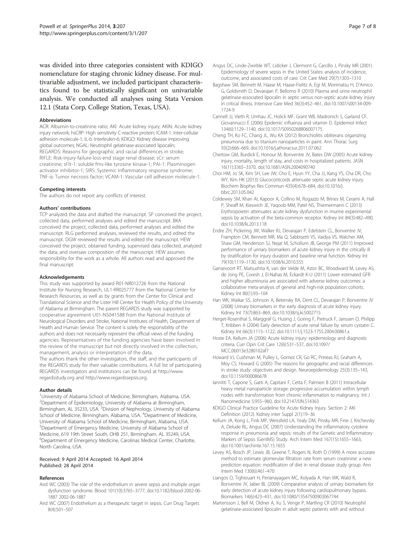<span id="page-6-0"></span>was divided into three categories consistent with KDIGO nomenclature for staging chronic kidney disease. For multivariable adjustment, we included participant characteristics found to be statistically significant on univariable analysis. We conducted all analyses using Stata Version 12.1 (Stata Corp, College Station, Texas, USA).

#### **Abbreviations**

ACR: Albumin-to-creatinine ratio; AKI: Acute kidney injury; AKIN: Acute kidney injury network; hsCRP: High sensitivity C-reactive protein; ICAM-1: Inter-cellular adhesion molecule-1; IL-6: Interleukin-6; KDIGO: Kidney disease improving global outcomes; NGAL: Neutrophil gelatinase-associated lipocalin; REGARDS: Reasons for geographic and racial differences in stroke; RIFLE: Risk-injury-failure-loss-end stage renal disease; sCr: serum creatinine; sFlt-1: soluble fms-like tyrosine kinase-1; PAI-1: Plasminogen activator inhibitor-1; SIRS: Systemic Inflammatory response syndrome; TNF-α: Tumor necrosis factor; VCAM-1: Vascular cell adhesion molecule-1.

#### Competing interests

The authors do not report any conflicts of interest.

#### Authors' contributions

TCP analyzed the data and drafted the manuscript. SP conceived the project, collected data, performed analyses and edited the manuscript. BKA conceived the project, collected data, performed analyses and edited the manuscript. RLG performed analyses, reviewed the results, and edited the manuscript. DGW reviewed the results and edited the manuscript. HEW conceived the project, obtained funding, supervised data collected, analyzed the data, and oversaw composition of the manuscript. HEW assumes responsibility for the work as a whole. All authors read and approved the final manuscript.

#### Acknowledgements

This study was supported by award R01-NR012726 from the National Institute for Nursing Research, UL1-RR025777 from the National Center for Research Resources, as well as by grants from the Center for Clinical and Translational Science and the Lister Hill Center for Health Policy of the University of Alabama at Birmingham. The parent REGARDS study was supported by cooperative agreement U01-NS041588 from the National Institute of Neurological Disorders and Stroke, National Institutes of Health, Department of Health and Human Service. The content is solely the responsibility of the authors and does not necessarily represent the official views of the funding agencies. Representatives of the funding agencies have been involved in the review of the manuscript but not directly involved in the collection, management, analysis or interpretation of the data.

The authors thank the other investigators, the staff, and the participants of the REGARDS study for their valuable contributions. A full list of participating REGARDS investigators and institutions can be found at [http://www.](http://www.regardsstudy.org) [regardsstudy.org](http://www.regardsstudy.org) and<http://www.regardssepsis.org>.

#### Author details

<sup>1</sup>University of Alabama School of Medicine, Birmingham, Alabama, USA. <sup>2</sup>Department of Epidemiology, University of Alabama at Birmingham,<br>Birmingham, AL 35233, USA. <sup>3</sup>Division of Nephrology, University of Alabama School of Medicine, Birmingham, Alabama, USA. <sup>4</sup>Department of Medicine, University of Alabama School of Medicine, Birmingham, Alabama, USA. 5 Department of Emergency Medicine, University of Alabama School of Medicine, 619 19th Street South, OHB 251, Birmingham, AL 35249, USA. 6 Department of Emergency Medicine, Carolinas Medical Center, Charlotte, North Carolina, USA.

#### Received: 9 April 2014 Accepted: 16 April 2014 Published: 28 April 2014

#### References

- Aird WC (2003) The role of the endothelium in severe sepsis and multiple organ dysfunction syndrome. Blood 101(10):3765–3777, doi:10.1182/blood-2002-06- 1887 2002-06-1887
- Aird WC (2007) Endothelium as a therapeutic target in sepsis. Curr Drug Targets 8(4):501–507
- Angus DC, Linde-Zwirble WT, Lidicker J, Clermont G, Carcillo J, Pinsky MR (2001) Epidemiology of severe sepsis in the United States: analysis of incidence, outcome, and associated costs of care. Crit Care Med 29(7):1303–1310
- Bagshaw SM, Bennett M, Haase M, Haase-Fielitz A, Egi M, Morimatsu H, D'Amico G, Goldsmith D, Devarajan P, Bellomo R (2010) Plasma and urine neutrophil gelatinase-associated lipocalin in septic versus non-septic acute kidney injury in critical illness. Intensive Care Med 36(3):452–461, doi:10.1007/s00134-009- 1724-9
- Cannell JJ, Vieth R, Umhau JC, Holick MF, Grant WB, Madronich S, Garland CF, Giovannucci E (2006) Epidemic influenza and vitamin D. Epidemiol Infect 134(6):1129–1140, doi:10.1017/S0950268806007175
- Cheng TH, Ko FC, Chang JL, Wu KA (2012) Bronchiolitis obliterans organizing pneumonia due to titanium nanoparticles in paint. Ann Thorac Surg 93(2):666–669, doi:10.1016/j.athoracsur.2011.07.062
- Chertow GM, Burdick E, Honour M, Bonventre JV, Bates DW (2005) Acute kidney injury, mortality, length of stay, and costs in hospitalized patients. JASN 16(11):3365–3370, doi:10.1681/ASN.2004090740
- Choi HM, Jo SK, Kim SH, Lee JW, Cho E, Hyun YY, Cha JJ, Kang YS, Cha DR, Cho WY, Kim HK (2013) Glucocorticoids attenuate septic acute kidney injury. Biochem Biophys Res Commun 435(4):678–684, doi:10.1016/j. bbrc.2013.05.042
- Coldewey SM, Khan AI, Kapoor A, Collino M, Rogazzo M, Brines M, Cerami A, Hall P, Sheaff M, Kieswich JE, Yaqoob MM, Patel NS, Thiemermann C (2013) Erythropoietin attenuates acute kidney dysfunction in murine experimental sepsis by activation of the beta-common receptor. Kidney Int 84(3):482–490, doi:10.1038/ki.2013.118
- Endre ZH, Pickering JW, Walker RJ, Devarajan P, Edelstein CL, Bonventre JV, Frampton CM, Bennett MR, Ma Q, Sabbisetti VS, Vaidya VS, Walcher AM, Shaw GM, Henderson SJ, Nejat M, Schollum JB, George PM (2011) Improved performance of urinary biomarkers of acute kidney injury in the critically ill by stratification for injury duration and baseline renal function. Kidney Int 79(10):1119–1130, doi:10.1038/ki.2010.555
- Gansevoort RT, Matsushita K, van der Velde M, Astor BC, Woodward M, Levey AS, de Jong PE, Coresh J, El-Nahas M, Eckardt K-U (2011) Lower estimated GFR and higher albuminuria are associated with adverse kidney outcomes: a collaborative meta-analysis of general and high-risk population cohorts. Kidney Int 80(1):93–104
- Han WK, Waikar SS, Johnson A, Betensky RA, Dent CL, Devarajan P, Bonventre JV (2008) Urinary biomarkers in the early diagnosis of acute kidney injury. Kidney Int 73(7):863–869, doi:10.1038/sj.ki.5002715
- Herget-Rosenthal S, Marggraf G, Husing J, Goring F, Pietruck F, Janssen O, Philipp T, Kribben A (2004) Early detection of acute renal failure by serum cystatin C. Kidney Int 66(3):1115–1122, doi:10.1111/j.1523-1755.2004.00861.x
- Hoste EA, Kellum JA (2006) Acute kidney injury: epidemiology and diagnostic criteria. Curr Opin Crit Care 12(6):531–537, doi:10.1097/ MCC.0b013e3280102af7
- Howard VJ, Cushman M, Pulley L, Gomez CR, Go RC, Prineas RJ, Graham A, Moy CS, Howard G (2005) The reasons for geographic and racial differences in stroke study: objectives and design. Neuroepidemiology 25(3):135–143, doi:10.1159/000086678
- Iannitti T, Capone S, Gatti A, Capitani F, Cetta F, Palmieri B (2011) Intracellular heavy metal nanoparticle storage: progressive accumulation within lymph nodes with transformation from chronic inflammation to malignancy. Int J Nanomedicine 5:955–960, doi:10.2147/IJN.S14363
- KDIGO Clinical Practice Guideline for Acute Kidney Injury. Section 2: AKI Definition (2012). Kidney inter Suppl 2(1):19–36
- Kellum JA, Kong L, Fink MP, Weissfeld LA, Yealy DM, Pinsky MR, Fine J, Krichevsky A, Delude RL, Angus DC (2007) Understanding the inflammatory cytokine response in pneumonia and sepsis: results of the Genetic and Inflammatory Markers of Sepsis (GenIMS) Study. Arch Intern Med 167(15):1655–1663, doi:10.1001/archinte.167.15.1655
- Levey AS, Bosch JP, Lewis JB, Greene T, Rogers N, Roth D (1999) A more accurate method to estimate glomerular filtration rate from serum creatinine: a new prediction equation: modification of diet in renal disease study group. Ann Intern Med 130(6):461–470
- Liangos O, Tighiouart H, Perianayagam MC, Kolyada A, Han WK, Wald R, Bonventre JV, Jaber BL (2009) Comparative analysis of urinary biomarkers for early detection of acute kidney injury following cardiopulmonary bypass. Biomarkers 14(6):423–431, doi:10.1080/13547500903067744
- Martensson J, Bell M, Oldner A, Xu S, Venge P, Martling CR (2010) Neutrophil gelatinase-associated lipocalin in adult septic patients with and without